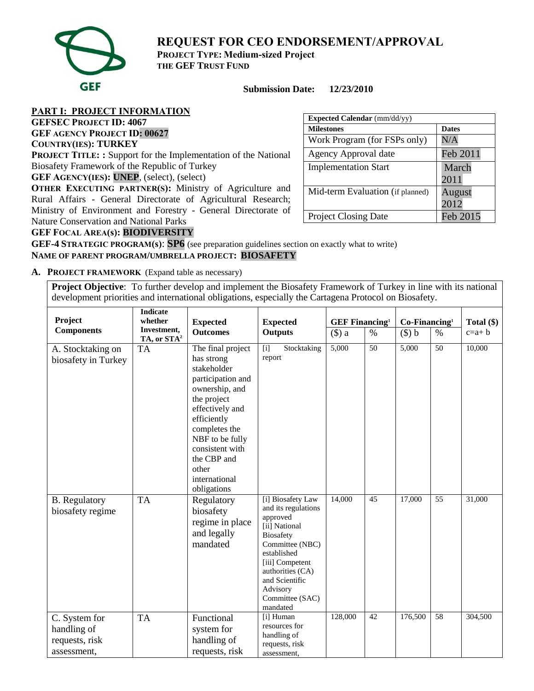

**REQUEST FOR CEO ENDORSEMENT/APPROVAL**

**PROJECT TYPE: Medium-sized Project THE GEF TRUST FUND**

# **Submission Date: 12/23/2010**

**PART I: PROJECT INFORMATION** 

**GEFSEC PROJECT ID: 4067 GEF AGENCY PROJECT ID: 00627**

# **COUNTRY(IES): TURKEY**

**PROJECT TITLE: :** Support for the Implementation of the National Biosafety Framework of the Republic of Turkey

**GEF AGENCY(IES): UNEP**, (select), (select)

**OTHER EXECUTING PARTNER(S):** Ministry of Agriculture and Rural Affairs - General Directorate of Agricultural Research; Ministry of Environment and Forestry - General Directorate of Nature Conservation and National Parks

| <b>Expected Calendar</b> (mm/dd/yy) |                |  |  |  |  |  |  |
|-------------------------------------|----------------|--|--|--|--|--|--|
| <b>Milestones</b>                   | <b>Dates</b>   |  |  |  |  |  |  |
| Work Program (for FSPs only)        | N/A            |  |  |  |  |  |  |
| Agency Approval date                | Feb 2011       |  |  |  |  |  |  |
| <b>Implementation Start</b>         | March<br>2011  |  |  |  |  |  |  |
| Mid-term Evaluation (if planned)    | August<br>2012 |  |  |  |  |  |  |
| <b>Project Closing Date</b>         | Feb 2015       |  |  |  |  |  |  |

# **GEF FOCAL AREA(s): BIODIVERSITY**

**GEF-4 STRATEGIC PROGRAM(s)**: **SP6** (see preparation guidelines section on exactly what to write) **NAME OF PARENT PROGRAM/UMBRELLA PROJECT: BIOSAFETY**

**A. PROJECT FRAMEWORK** (Expand table as necessary)

**Project Objective**: To further develop and implement the Biosafety Framework of Turkey in line with its national development priorities and international obligations, especially the Cartagena Protocol on Biosafety.

| Project                                                       | <b>Indicate</b><br>whether<br><b>Expected</b><br><b>Expected</b> |                                                                                                                                                                                                                                                       | <b>GEF Financing</b> <sup>1</sup>                                                                                                                                                                                               |         | $Co-Financing1$ |           | Total $(\$)$ |         |
|---------------------------------------------------------------|------------------------------------------------------------------|-------------------------------------------------------------------------------------------------------------------------------------------------------------------------------------------------------------------------------------------------------|---------------------------------------------------------------------------------------------------------------------------------------------------------------------------------------------------------------------------------|---------|-----------------|-----------|--------------|---------|
| <b>Components</b>                                             | Investment,<br>TA, or STA <sup>2</sup>                           | <b>Outcomes</b>                                                                                                                                                                                                                                       | <b>Outputs</b><br>$(\$)$ a                                                                                                                                                                                                      |         | $\%$            | $($ \$) b | $\%$         | $c=a+b$ |
| A. Stocktaking on<br>biosafety in Turkey                      | <b>TA</b>                                                        | The final project<br>has strong<br>stakeholder<br>participation and<br>ownership, and<br>the project<br>effectively and<br>efficiently<br>completes the<br>NBF to be fully<br>consistent with<br>the CBP and<br>other<br>international<br>obligations | $\overline{[i]}$<br>Stocktaking<br>report                                                                                                                                                                                       | 5,000   | $\overline{50}$ | 5,000     | 50           | 10,000  |
| <b>B.</b> Regulatory<br>biosafety regime                      | <b>TA</b>                                                        | Regulatory<br>biosafety<br>regime in place<br>and legally<br>mandated                                                                                                                                                                                 | [i] Biosafety Law<br>and its regulations<br>approved<br>[ii] National<br><b>Biosafety</b><br>Committee (NBC)<br>established<br>[iii] Competent<br>authorities (CA)<br>and Scientific<br>Advisory<br>Committee (SAC)<br>mandated | 14,000  | 45              | 17,000    | 55           | 31,000  |
| C. System for<br>handling of<br>requests, risk<br>assessment, | <b>TA</b>                                                        | Functional<br>system for<br>handling of<br>requests, risk                                                                                                                                                                                             | [i] Human<br>resources for<br>handling of<br>requests, risk<br>assessment,                                                                                                                                                      | 128,000 | 42              | 176,500   | 58           | 304,500 |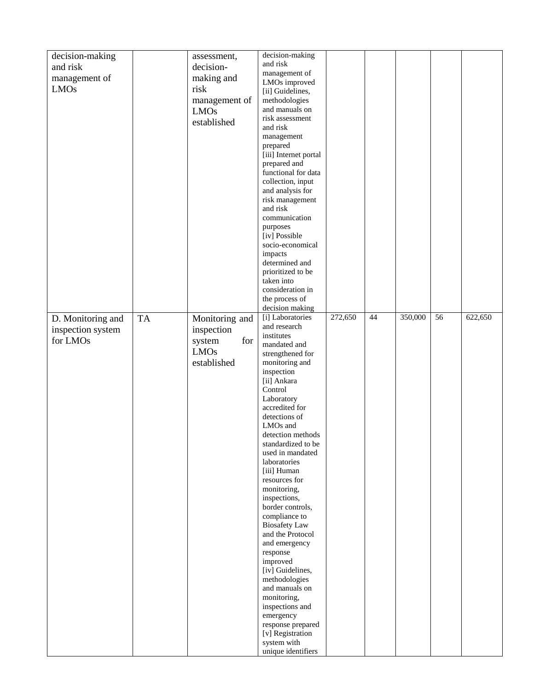| decision-making   |    | assessment,    | decision-making                       |         |    |         |    |         |
|-------------------|----|----------------|---------------------------------------|---------|----|---------|----|---------|
| and risk          |    | decision-      | and risk                              |         |    |         |    |         |
| management of     |    | making and     | management of                         |         |    |         |    |         |
| <b>LMOs</b>       |    | risk           | LMOs improved                         |         |    |         |    |         |
|                   |    |                | [ii] Guidelines,                      |         |    |         |    |         |
|                   |    | management of  | methodologies                         |         |    |         |    |         |
|                   |    | <b>LMOs</b>    | and manuals on<br>risk assessment     |         |    |         |    |         |
|                   |    | established    | and risk                              |         |    |         |    |         |
|                   |    |                | management                            |         |    |         |    |         |
|                   |    |                | prepared                              |         |    |         |    |         |
|                   |    |                | [iii] Internet portal                 |         |    |         |    |         |
|                   |    |                | prepared and                          |         |    |         |    |         |
|                   |    |                | functional for data                   |         |    |         |    |         |
|                   |    |                | collection, input                     |         |    |         |    |         |
|                   |    |                | and analysis for                      |         |    |         |    |         |
|                   |    |                | risk management                       |         |    |         |    |         |
|                   |    |                | and risk                              |         |    |         |    |         |
|                   |    |                | communication<br>purposes             |         |    |         |    |         |
|                   |    |                | [iv] Possible                         |         |    |         |    |         |
|                   |    |                | socio-economical                      |         |    |         |    |         |
|                   |    |                | impacts                               |         |    |         |    |         |
|                   |    |                | determined and                        |         |    |         |    |         |
|                   |    |                | prioritized to be                     |         |    |         |    |         |
|                   |    |                | taken into                            |         |    |         |    |         |
|                   |    |                | consideration in                      |         |    |         |    |         |
|                   |    |                | the process of                        |         |    |         |    |         |
|                   |    |                | decision making                       |         |    |         |    |         |
| D. Monitoring and | TA | Monitoring and | [i] Laboratories<br>and research      | 272,650 | 44 | 350,000 | 56 | 622,650 |
| inspection system |    | inspection     | institutes                            |         |    |         |    |         |
| for LMOs          |    | for<br>system  | mandated and                          |         |    |         |    |         |
|                   |    | <b>LMOs</b>    | strengthened for                      |         |    |         |    |         |
|                   |    | established    | monitoring and                        |         |    |         |    |         |
|                   |    |                | inspection                            |         |    |         |    |         |
|                   |    |                | [ii] Ankara                           |         |    |         |    |         |
|                   |    |                | Control                               |         |    |         |    |         |
|                   |    |                | Laboratory                            |         |    |         |    |         |
|                   |    |                | accredited for                        |         |    |         |    |         |
|                   |    |                | detections of<br>LMO <sub>s</sub> and |         |    |         |    |         |
|                   |    |                | detection methods                     |         |    |         |    |         |
|                   |    |                | standardized to be                    |         |    |         |    |         |
|                   |    |                | used in mandated                      |         |    |         |    |         |
|                   |    |                | laboratories                          |         |    |         |    |         |
|                   |    |                | [iii] Human                           |         |    |         |    |         |
|                   |    |                | resources for                         |         |    |         |    |         |
|                   |    |                | monitoring,                           |         |    |         |    |         |
|                   |    |                | inspections,<br>border controls,      |         |    |         |    |         |
|                   |    |                | compliance to                         |         |    |         |    |         |
|                   |    |                | <b>Biosafety Law</b>                  |         |    |         |    |         |
|                   |    |                | and the Protocol                      |         |    |         |    |         |
|                   |    |                | and emergency                         |         |    |         |    |         |
|                   |    |                | response                              |         |    |         |    |         |
|                   |    |                | improved                              |         |    |         |    |         |
|                   |    |                | [iv] Guidelines,                      |         |    |         |    |         |
|                   |    |                | methodologies                         |         |    |         |    |         |
|                   |    |                | and manuals on<br>monitoring,         |         |    |         |    |         |
|                   |    |                | inspections and                       |         |    |         |    |         |
|                   |    |                | emergency                             |         |    |         |    |         |
|                   |    |                | response prepared                     |         |    |         |    |         |
|                   |    |                | [v] Registration                      |         |    |         |    |         |
|                   |    |                | system with                           |         |    |         |    |         |
|                   |    |                | unique identifiers                    |         |    |         |    |         |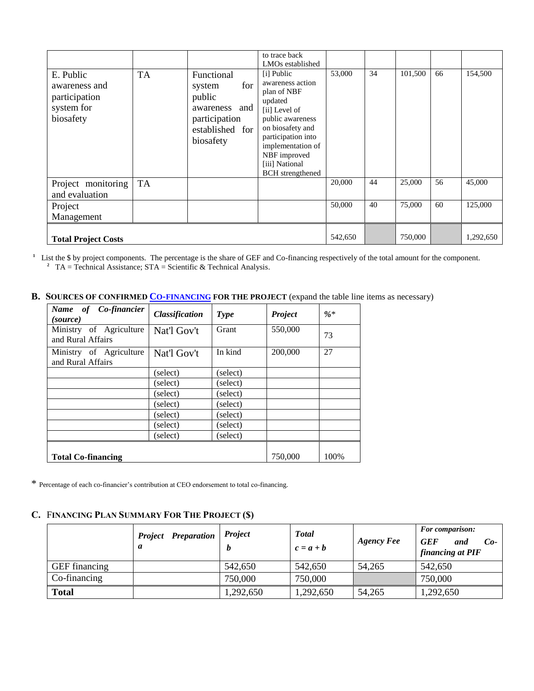|                                                                        |           |                                                                                                            | to trace back<br>LMO <sub>s</sub> established                                                                                                                                                                             |         |    |         |    |           |
|------------------------------------------------------------------------|-----------|------------------------------------------------------------------------------------------------------------|---------------------------------------------------------------------------------------------------------------------------------------------------------------------------------------------------------------------------|---------|----|---------|----|-----------|
| E. Public<br>awareness and<br>participation<br>system for<br>biosafety | <b>TA</b> | Functional<br>for<br>system<br>public<br>and<br>awareness<br>participation<br>established for<br>biosafety | [i] Public<br>awareness action<br>plan of NBF<br>updated<br>[ii] Level of<br>public awareness<br>on biosafety and<br>participation into<br>implementation of<br>NBF improved<br>[iii] National<br><b>BCH</b> strengthened | 53,000  | 34 | 101,500 | 66 | 154,500   |
| Project monitoring<br>and evaluation                                   | <b>TA</b> |                                                                                                            |                                                                                                                                                                                                                           | 20,000  | 44 | 25,000  | 56 | 45,000    |
| Project<br>Management                                                  |           |                                                                                                            |                                                                                                                                                                                                                           | 50,000  | 40 | 75,000  | 60 | 125,000   |
| <b>Total Project Costs</b>                                             |           |                                                                                                            |                                                                                                                                                                                                                           | 542,650 |    | 750,000 |    | 1,292,650 |

<sup>1</sup> List the \$ by project components. The percentage is the share of GEF and Co-financing respectively of the total amount for the component. <sup>2</sup> TA = Technical Assistance;  $STA = Scientific & Technical Analysis$ .

# **B. SOURCES OF CONFIRMED CO-[FINANCING](http://gefweb.org/Documents/Council_Documents/GEF_C21/C.20.6.Rev.1.pdf) FOR THE PROJECT** (expand the table line items as necessary)

| Name of Co-financier<br>(source)             | <b>Classification</b> | <b>Type</b> | <b>Project</b> | $%$ * |
|----------------------------------------------|-----------------------|-------------|----------------|-------|
| Ministry of Agriculture<br>and Rural Affairs | Nat'l Gov't           | Grant       | 550,000        | 73    |
| Ministry of Agriculture<br>and Rural Affairs | Nat'l Gov't           | In kind     | 200,000        | 27    |
|                                              | (select)              | (select)    |                |       |
|                                              | (select)              | (select)    |                |       |
|                                              | (select)              | (select)    |                |       |
|                                              | (select)              | (select)    |                |       |
|                                              | (select)              | (select)    |                |       |
|                                              | (select)              | (select)    |                |       |
|                                              | (select)              | (select)    |                |       |
| <b>Total Co-financing</b>                    | 750,000               | 100%        |                |       |

\* Percentage of each co-financier's contribution at CEO endorsement to total co-financing.

#### **C.** F**INANCING PLAN SUMMARY FOR THE PROJECT (\$)**

|                      | <b>Project</b> Preparation<br>a | <b>Project</b> | <b>T</b> otal<br>$c = a + b$ | <b>Agency Fee</b> | <b>For comparison:</b><br><b>GEF</b><br>and<br>$Co-$<br>financing at PIF |
|----------------------|---------------------------------|----------------|------------------------------|-------------------|--------------------------------------------------------------------------|
| <b>GEF</b> financing |                                 | 542,650        | 542,650                      | 54,265            | 542,650                                                                  |
| Co-financing         |                                 | 750,000        | 750,000                      |                   | 750,000                                                                  |
| <b>Total</b>         |                                 | 1,292,650      | 1,292,650                    | 54,265            | 1,292,650                                                                |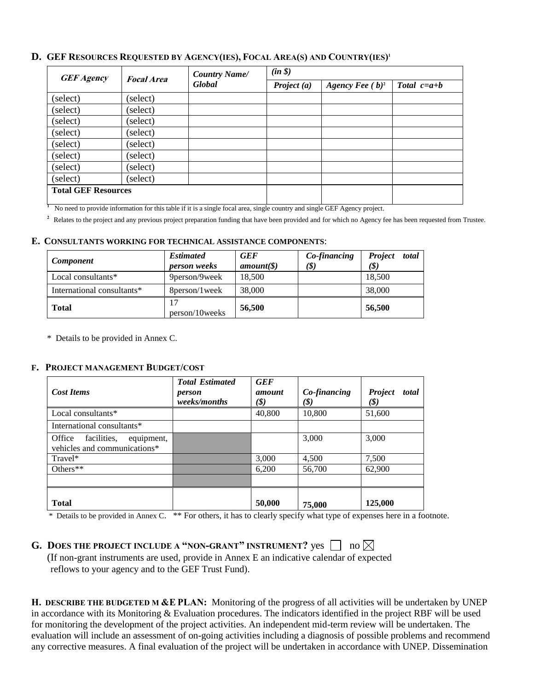# **D. GEF RESOURCES REQUESTED BY AGENCY(IES), FOCAL AREA(S) AND COUNTRY(IES)'**

| <b>GEF Agency</b>          | <b>Focal Area</b> | <b>Country Name/</b> | $(in \$       |                    |               |  |  |  |
|----------------------------|-------------------|----------------------|---------------|--------------------|---------------|--|--|--|
|                            |                   | Global               | Project $(a)$ | Agency Fee $(b)^2$ | Total $c=a+b$ |  |  |  |
| (select)                   | (select)          |                      |               |                    |               |  |  |  |
| (select)                   | (select)          |                      |               |                    |               |  |  |  |
| (select)                   | (select)          |                      |               |                    |               |  |  |  |
| (select)                   | (select)          |                      |               |                    |               |  |  |  |
| (select)                   | (select)          |                      |               |                    |               |  |  |  |
| (select)                   | (select)          |                      |               |                    |               |  |  |  |
| (select)                   | (select)          |                      |               |                    |               |  |  |  |
| (select)                   | (select)          |                      |               |                    |               |  |  |  |
| <b>Total GEF Resources</b> |                   |                      |               |                    |               |  |  |  |

No need to provide information for this table if it is a single focal area, single country and single GEF Agency project.

<sup>2</sup> Relates to the project and any previous project preparation funding that have been provided and for which no Agency fee has been requested from Trustee.

#### **E. CONSULTANTS WORKING FOR TECHNICAL ASSISTANCE COMPONENTS**:

| Component                  | <b>Estimated</b><br><i>person weeks</i> | <b>GEF</b><br>amount( <i>§</i> ) | Co-financing<br>(\$) | total<br><b>Project</b><br>(S) |
|----------------------------|-----------------------------------------|----------------------------------|----------------------|--------------------------------|
| Local consultants*         | 9 person/9 week                         | 18.500                           |                      | 18,500                         |
| International consultants* | 8 person/1 week                         | 38,000                           |                      | 38,000                         |
| <b>Total</b>               | person/10weeks                          | 56,500                           |                      | 56,500                         |

\* Details to be provided in Annex C.

**1**

### **F. PROJECT MANAGEMENT BUDGET/COST**

| <b>Cost Items</b>                                                   | <b>Total Estimated</b><br>person<br>weeks/months | <b>GEF</b><br>amount<br>(\$) | Co-financing<br>(\$) | Project<br>total<br>(\$) |
|---------------------------------------------------------------------|--------------------------------------------------|------------------------------|----------------------|--------------------------|
| Local consultants*                                                  |                                                  | 40,800                       | 10,800               | 51,600                   |
| International consultants*                                          |                                                  |                              |                      |                          |
| equipment,<br>facilities,<br>Office<br>vehicles and communications* |                                                  |                              | 3,000                | 3,000                    |
| Travel*                                                             |                                                  | 3,000                        | 4,500                | 7,500                    |
| Others $**$                                                         |                                                  | 6,200                        | 56,700               | 62,900                   |
|                                                                     |                                                  |                              |                      |                          |
| <b>Total</b>                                                        |                                                  | 50,000                       | 75,000               | 125,000                  |

\* Details to be provided in Annex C. \*\* For others, it has to clearly specify what type of expenses here in a footnote.

# **G.** DOES THE PROJECT INCLUDE A "NON-GRANT" INSTRUMENT? yes  $\Box$  no  $\boxtimes$

 (If non-grant instruments are used, provide in Annex E an indicative calendar of expected reflows to your agency and to the GEF Trust Fund).

**H. DESCRIBE THE BUDGETED M &E PLAN:** Monitoring of the progress of all activities will be undertaken by UNEP in accordance with its Monitoring & Evaluation procedures. The indicators identified in the project RBF will be used for monitoring the development of the project activities. An independent mid-term review will be undertaken. The evaluation will include an assessment of on-going activities including a diagnosis of possible problems and recommend any corrective measures. A final evaluation of the project will be undertaken in accordance with UNEP. Dissemination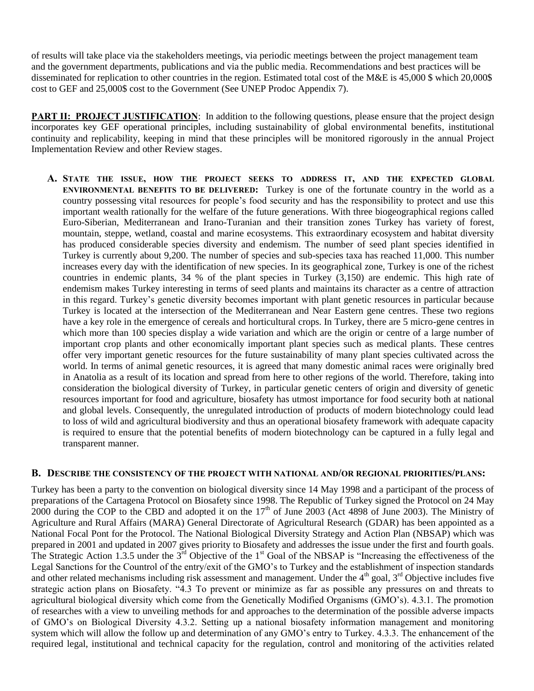of results will take place via the stakeholders meetings, via periodic meetings between the project management team and the government departments, publications and via the public media. Recommendations and best practices will be disseminated for replication to other countries in the region. Estimated total cost of the M&E is 45,000 \$ which 20,000\$ cost to GEF and 25,000\$ cost to the Government (See UNEP Prodoc Appendix 7).

**PART II: PROJECT JUSTIFICATION:** In addition to the following questions, please ensure that the project design incorporates key GEF operational principles, including sustainability of global environmental benefits, institutional continuity and replicability, keeping in mind that these principles will be monitored rigorously in the annual Project Implementation Review and other Review stages.

**A. STATE THE ISSUE, HOW THE PROJECT SEEKS TO ADDRESS IT, AND THE EXPECTED GLOBAL ENVIRONMENTAL BENEFITS TO BE DELIVERED:** Turkey is one of the fortunate country in the world as a country possessing vital resources for people's food security and has the responsibility to protect and use this important wealth rationally for the welfare of the future generations. With three biogeographical regions called Euro-Siberian, Mediterranean and Irano-Turanian and their transition zones Turkey has variety of forest, mountain, steppe, wetland, coastal and marine ecosystems. This extraordinary ecosystem and habitat diversity has produced considerable species diversity and endemism. The number of seed plant species identified in Turkey is currently about 9,200. The number of species and sub-species taxa has reached 11,000. This number increases every day with the identification of new species. In its geographical zone, Turkey is one of the richest countries in endemic plants, 34 % of the plant species in Turkey (3,150) are endemic. This high rate of endemism makes Turkey interesting in terms of seed plants and maintains its character as a centre of attraction in this regard. Turkey's genetic diversity becomes important with plant genetic resources in particular because Turkey is located at the intersection of the Mediterranean and Near Eastern gene centres. These two regions have a key role in the emergence of cereals and horticultural crops. In Turkey, there are 5 micro-gene centres in which more than 100 species display a wide variation and which are the origin or centre of a large number of important crop plants and other economically important plant species such as medical plants. These centres offer very important genetic resources for the future sustainability of many plant species cultivated across the world. In terms of animal genetic resources, it is agreed that many domestic animal races were originally bred in Anatolia as a result of its location and spread from here to other regions of the world. Therefore, taking into consideration the biological diversity of Turkey, in particular genetic centers of origin and diversity of genetic resources important for food and agriculture, biosafety has utmost importance for food security both at national and global levels. Consequently, the unregulated introduction of products of modern biotechnology could lead to loss of wild and agricultural biodiversity and thus an operational biosafety framework with adequate capacity is required to ensure that the potential benefits of modern biotechnology can be captured in a fully legal and transparent manner.

## **B. DESCRIBE THE CONSISTENCY OF THE PROJECT WITH NATIONAL AND/OR REGIONAL PRIORITIES/PLANS:**

Turkey has been a party to the convention on biological diversity since 14 May 1998 and a participant of the process of preparations of the Cartagena Protocol on Biosafety since 1998. The Republic of Turkey signed the Protocol on 24 May 2000 during the COP to the CBD and adopted it on the  $17<sup>th</sup>$  of June 2003 (Act 4898 of June 2003). The Ministry of Agriculture and Rural Affairs (MARA) General Directorate of Agricultural Research (GDAR) has been appointed as a National Focal Pont for the Protocol. The National Biological Diversity Strategy and Action Plan (NBSAP) which was prepared in 2001 and updated in 2007 gives priority to Biosafety and addresses the issue under the first and fourth goals. The Strategic Action 1.3.5 under the 3<sup>rd</sup> Objective of the 1<sup>st</sup> Goal of the NBSAP is "Increasing the effectiveness of the Legal Sanctions for the Countrol of the entry/exit of the GMO's to Turkey and the establishment of inspection standards and other related mechanisms including risk assessment and management. Under the  $4<sup>th</sup>$  goal,  $3<sup>rd</sup>$  Objective includes five strategic action plans on Biosafety. "4.3 To prevent or minimize as far as possible any pressures on and threats to agricultural biological diversity which come from the Genetically Modified Organisms (GMO's). 4.3.1. The promotion of researches with a view to unveiling methods for and approaches to the determination of the possible adverse impacts of GMO's on Biological Diversity 4.3.2. Setting up a national biosafety information management and monitoring system which will allow the follow up and determination of any GMO's entry to Turkey. 4.3.3. The enhancement of the required legal, institutional and technical capacity for the regulation, control and monitoring of the activities related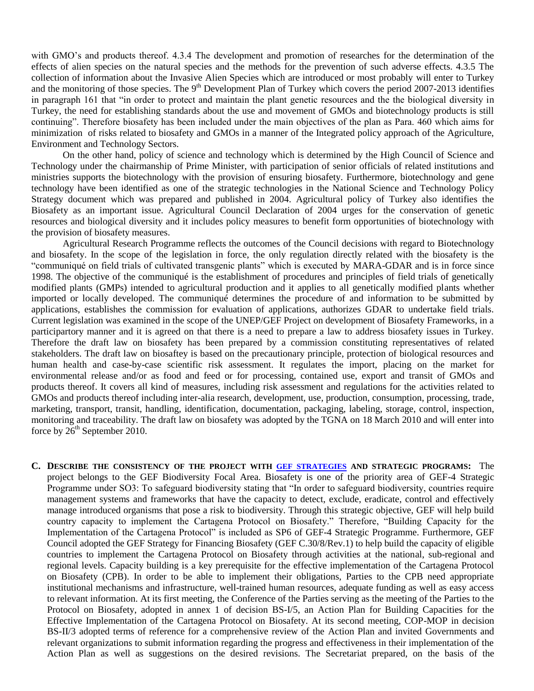with GMO's and products thereof. 4.3.4 The development and promotion of researches for the determination of the effects of alien species on the natural species and the methods for the prevention of such adverse effects. 4.3.5 The collection of information about the Invasive Alien Species which are introduced or most probably will enter to Turkey and the monitoring of those species. The 9<sup>th</sup> Development Plan of Turkey which covers the period 2007-2013 identifies in paragraph 161 that "in order to protect and maintain the plant genetic resources and the the biological diversity in Turkey, the need for establishing standards about the use and movement of GMOs and biotechnology products is still continuing". Therefore biosafety has been included under the main objectives of the plan as Para. 460 which aims for minimization of risks related to biosafety and GMOs in a manner of the Integrated policy approach of the Agriculture, Environment and Technology Sectors.

On the other hand, policy of science and technology which is determined by the High Council of Science and Technology under the chairmanship of Prime Minister, with participation of senior officials of related institutions and ministries supports the biotechnology with the provision of ensuring biosafety. Furthermore, biotechnology and gene technology have been identified as one of the strategic technologies in the National Science and Technology Policy Strategy document which was prepared and published in 2004. Agricultural policy of Turkey also identifies the Biosafety as an important issue. Agricultural Council Declaration of 2004 urges for the conservation of genetic resources and biological diversity and it includes policy measures to benefit form opportunities of biotechnology with the provision of biosafety measures.

Agricultural Research Programme reflects the outcomes of the Council decisions with regard to Biotechnology and biosafety. In the scope of the legislation in force, the only regulation directly related with the biosafety is the "communiqué on field trials of cultivated transgenic plants" which is executed by MARA-GDAR and is in force since 1998. The objective of the communiqué is the establishment of procedures and principles of field trials of genetically modified plants (GMPs) intended to agricultural production and it applies to all genetically modified plants whether imported or locally developed. The communiqué determines the procedure of and information to be submitted by applications, establishes the commission for evaluation of applications, authorizes GDAR to undertake field trials. Current legislation was examined in the scope of the UNEP/GEF Project on development of Biosafety Frameworks, in a participartory manner and it is agreed on that there is a need to prepare a law to address biosafety issues in Turkey. Therefore the draft law on biosafety has been prepared by a commission constituting representatives of related stakeholders. The draft law on biosaftey is based on the precautionary principle, protection of biological resources and human health and case-by-case scientific risk assessment. It regulates the import, placing on the market for environmental release and/or as food and feed or for processing, contained use, export and transit of GMOs and products thereof. It covers all kind of measures, including risk assessment and regulations for the activities related to GMOs and products thereof including inter-alia research, development, use, production, consumption, processing, trade, marketing, transport, transit, handling, identification, documentation, packaging, labeling, storage, control, inspection, monitoring and traceability. The draft law on biosafety was adopted by the TGNA on 18 March 2010 and will enter into force by  $26^{th}$  September 2010.

**C. DESCRIBE THE CONSISTENCY OF THE PROJECT WITH [GEF STRATEGIES](http://gefweb.org/uploadedFiles/Projects/Templates_and_Guidelines/C31-10%20Revised%20Focal%20Area%20Strategies-07-23-07_Final.pdf) AND STRATEGIC PROGRAMS:** The project belongs to the GEF Biodiversity Focal Area. Biosafety is one of the priority area of GEF-4 Strategic Programme under SO3: To safeguard biodiversity stating that "In order to safeguard biodiversity, countries require management systems and frameworks that have the capacity to detect, exclude, eradicate, control and effectively manage introduced organisms that pose a risk to biodiversity. Through this strategic objective, GEF will help build country capacity to implement the Cartagena Protocol on Biosafety." Therefore, "Building Capacity for the Implementation of the Cartagena Protocol" is included as SP6 of GEF-4 Strategic Programme. Furthermore, GEF Council adopted the GEF Strategy for Financing Biosafety (GEF C.30/8/Rev.1) to help build the capacity of eligible countries to implement the Cartagena Protocol on Biosafety through activities at the national, sub-regional and regional levels. Capacity building is a key prerequisite for the effective implementation of the Cartagena Protocol on Biosafety (CPB). In order to be able to implement their obligations, Parties to the CPB need appropriate institutional mechanisms and infrastructure, well-trained human resources, adequate funding as well as easy access to relevant information. At its first meeting, the Conference of the Parties serving as the meeting of the Parties to the Protocol on Biosafety, adopted in annex 1 of decision BS-I/5, an Action Plan for Building Capacities for the Effective Implementation of the Cartagena Protocol on Biosafety. At its second meeting, COP-MOP in decision BS-II/3 adopted terms of reference for a comprehensive review of the Action Plan and invited Governments and relevant organizations to submit information regarding the progress and effectiveness in their implementation of the Action Plan as well as suggestions on the desired revisions. The Secretariat prepared, on the basis of the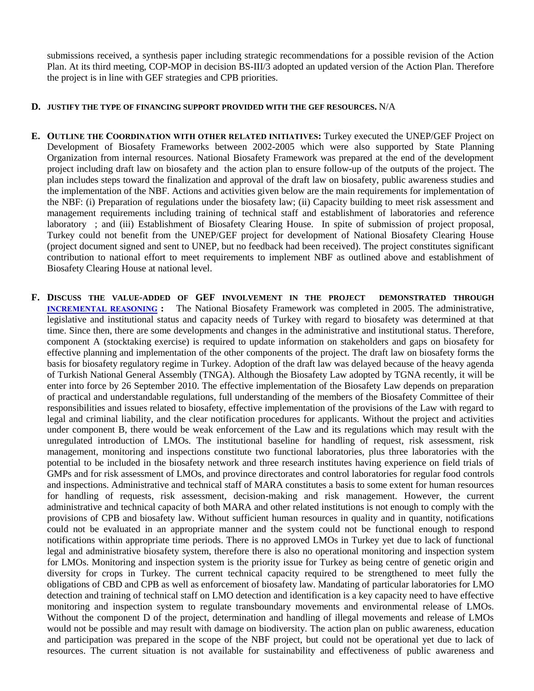submissions received, a synthesis paper including strategic recommendations for a possible revision of the Action Plan. At its third meeting, COP-MOP in decision BS-III/3 adopted an updated version of the Action Plan. Therefore the project is in line with GEF strategies and CPB priorities.

#### **D. JUSTIFY THE TYPE OF FINANCING SUPPORT PROVIDED WITH THE GEF RESOURCES.** N/A

- **E. OUTLINE THE COORDINATION WITH OTHER RELATED INITIATIVES:** Turkey executed the UNEP/GEF Project on Development of Biosafety Frameworks between 2002-2005 which were also supported by State Planning Organization from internal resources. National Biosafety Framework was prepared at the end of the development project including draft law on biosafety and the action plan to ensure follow-up of the outputs of the project. The plan includes steps toward the finalization and approval of the draft law on biosafety, public awareness studies and the implementation of the NBF. Actions and activities given below are the main requirements for implementation of the NBF: (i) Preparation of regulations under the biosafety law; (ii) Capacity building to meet risk assessment and management requirements including training of technical staff and establishment of laboratories and reference laboratory ; and (iii) Establishment of Biosafety Clearing House. In spite of submission of project proposal, Turkey could not benefit from the UNEP/GEF project for development of National Biosafety Clearing House (project document signed and sent to UNEP, but no feedback had been received). The project constitutes significant contribution to national effort to meet requirements to implement NBF as outlined above and establishment of Biosafety Clearing House at national level.
- **F. DISCUSS THE VALUE-ADDED OF GEF INVOLVEMENT IN THE PROJECT DEMONSTRATED THROUGH [INCREMENTAL REASONING](http://gefweb.org/uploadedFiles/Documents/Council_Documents__(PDF_DOC)/GEF_31/C.31.12%20Operational%20Guidelines%20for%20Incremental%20Costs.pdf) :** The National Biosafety Framework was completed in 2005. The administrative, legislative and institutional status and capacity needs of Turkey with regard to biosafety was determined at that time. Since then, there are some developments and changes in the administrative and institutional status. Therefore, component A (stocktaking exercise) is required to update information on stakeholders and gaps on biosafety for effective planning and implementation of the other components of the project. The draft law on biosafety forms the basis for biosafety regulatory regime in Turkey. Adoption of the draft law was delayed because of the heavy agenda of Turkish National General Assembly (TNGA). Although the Biosafety Law adopted by TGNA recently, it will be enter into force by 26 September 2010. The effective implementation of the Biosafety Law depends on preparation of practical and understandable regulations, full understanding of the members of the Biosafety Committee of their responsibilities and issues related to biosafety, effective implementation of the provisions of the Law with regard to legal and criminal liability, and the clear notification procedures for applicants. Without the project and activities under component B, there would be weak enforcement of the Law and its regulations which may result with the unregulated introduction of LMOs. The institutional baseline for handling of request, risk assessment, risk management, monitoring and inspections constitute two functional laboratories, plus three laboratories with the potential to be included in the biosafety network and three research institutes having experience on field trials of GMPs and for risk assessment of LMOs, and province directorates and control laboratories for regular food controls and inspections. Administrative and technical staff of MARA constitutes a basis to some extent for human resources for handling of requests, risk assessment, decision-making and risk management. However, the current administrative and technical capacity of both MARA and other related institutions is not enough to comply with the provisions of CPB and biosafety law. Without sufficient human resources in quality and in quantity, notifications could not be evaluated in an appropriate manner and the system could not be functional enough to respond notifications within appropriate time periods. There is no approved LMOs in Turkey yet due to lack of functional legal and administrative biosafety system, therefore there is also no operational monitoring and inspection system for LMOs. Monitoring and inspection system is the priority issue for Turkey as being centre of genetic origin and diversity for crops in Turkey. The current technical capacity required to be strengthened to meet fully the obligations of CBD and CPB as well as enforcement of biosafety law. Mandating of particular laboratories for LMO detection and training of technical staff on LMO detection and identification is a key capacity need to have effective monitoring and inspection system to regulate transboundary movements and environmental release of LMOs. Without the component D of the project, determination and handling of illegal movements and release of LMOs would not be possible and may result with damage on biodiversity. The action plan on public awareness, education and participation was prepared in the scope of the NBF project, but could not be operational yet due to lack of resources. The current situation is not available for sustainability and effectiveness of public awareness and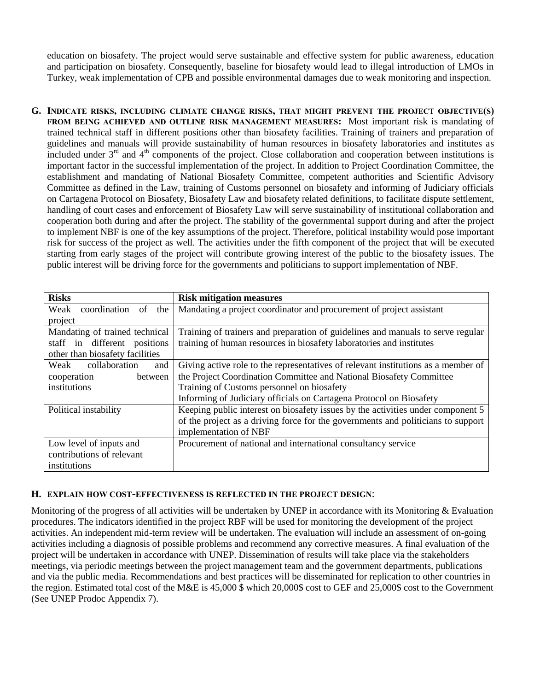education on biosafety. The project would serve sustainable and effective system for public awareness, education and participation on biosafety. Consequently, baseline for biosafety would lead to illegal introduction of LMOs in Turkey, weak implementation of CPB and possible environmental damages due to weak monitoring and inspection.

**G. INDICATE RISKS, INCLUDING CLIMATE CHANGE RISKS, THAT MIGHT PREVENT THE PROJECT OBJECTIVE(S) FROM BEING ACHIEVED AND OUTLINE RISK MANAGEMENT MEASURES:** Most important risk is mandating of trained technical staff in different positions other than biosafety facilities. Training of trainers and preparation of guidelines and manuals will provide sustainability of human resources in biosafety laboratories and institutes as included under  $3<sup>rd</sup>$  and  $4<sup>th</sup>$  components of the project. Close collaboration and cooperation between institutions is important factor in the successful implementation of the project. In addition to Project Coordination Committee, the establishment and mandating of National Biosafety Committee, competent authorities and Scientific Advisory Committee as defined in the Law, training of Customs personnel on biosafety and informing of Judiciary officials on Cartagena Protocol on Biosafety, Biosafety Law and biosafety related definitions, to facilitate dispute settlement, handling of court cases and enforcement of Biosafety Law will serve sustainability of institutional collaboration and cooperation both during and after the project. The stability of the governmental support during and after the project to implement NBF is one of the key assumptions of the project. Therefore, political instability would pose important risk for success of the project as well. The activities under the fifth component of the project that will be executed starting from early stages of the project will contribute growing interest of the public to the biosafety issues. The public interest will be driving force for the governments and politicians to support implementation of NBF.

| <b>Risks</b>                    | <b>Risk mitigation measures</b>                                                   |
|---------------------------------|-----------------------------------------------------------------------------------|
| coordination of<br>Weak<br>the  | Mandating a project coordinator and procurement of project assistant              |
| project                         |                                                                                   |
| Mandating of trained technical  | Training of trainers and preparation of guidelines and manuals to serve regular   |
| staff in different positions    | training of human resources in biosafety laboratories and institutes              |
| other than biosafety facilities |                                                                                   |
| collaboration<br>Weak<br>and    | Giving active role to the representatives of relevant institutions as a member of |
| cooperation<br>between          | the Project Coordination Committee and National Biosafety Committee               |
| institutions                    | Training of Customs personnel on biosafety                                        |
|                                 | Informing of Judiciary officials on Cartagena Protocol on Biosafety               |
| Political instability           | Keeping public interest on biosafety issues by the activities under component 5   |
|                                 | of the project as a driving force for the governments and politicians to support  |
|                                 | implementation of NBF                                                             |
| Low level of inputs and         | Procurement of national and international consultancy service                     |
| contributions of relevant       |                                                                                   |
| institutions                    |                                                                                   |

## **H. EXPLAIN HOW COST-EFFECTIVENESS IS REFLECTED IN THE PROJECT DESIGN**:

Monitoring of the progress of all activities will be undertaken by UNEP in accordance with its Monitoring  $\&$  Evaluation procedures. The indicators identified in the project RBF will be used for monitoring the development of the project activities. An independent mid-term review will be undertaken. The evaluation will include an assessment of on-going activities including a diagnosis of possible problems and recommend any corrective measures. A final evaluation of the project will be undertaken in accordance with UNEP. Dissemination of results will take place via the stakeholders meetings, via periodic meetings between the project management team and the government departments, publications and via the public media. Recommendations and best practices will be disseminated for replication to other countries in the region. Estimated total cost of the M&E is 45,000 \$ which 20,000\$ cost to GEF and 25,000\$ cost to the Government (See UNEP Prodoc Appendix 7).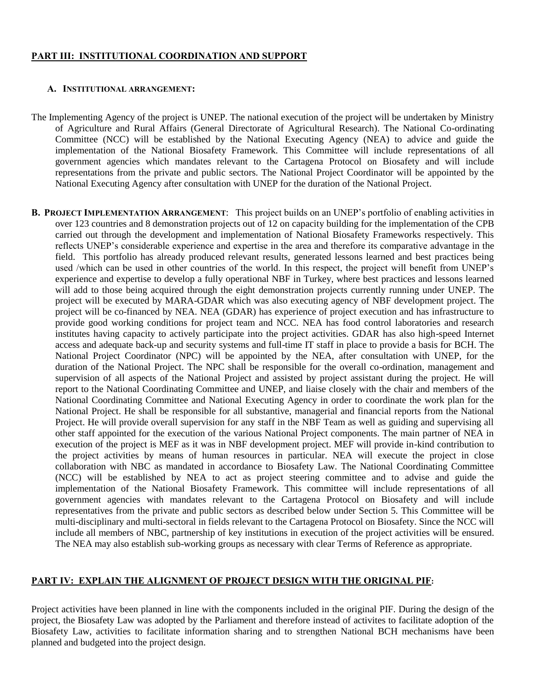# **PART III: INSTITUTIONAL COORDINATION AND SUPPORT**

#### **A. INSTITUTIONAL ARRANGEMENT:**

- The Implementing Agency of the project is UNEP. The national execution of the project will be undertaken by Ministry of Agriculture and Rural Affairs (General Directorate of Agricultural Research). The National Co-ordinating Committee (NCC) will be established by the National Executing Agency (NEA) to advice and guide the implementation of the National Biosafety Framework. This Committee will include representations of all government agencies which mandates relevant to the Cartagena Protocol on Biosafety and will include representations from the private and public sectors. The National Project Coordinator will be appointed by the National Executing Agency after consultation with UNEP for the duration of the National Project.
- **B. PROJECT IMPLEMENTATION ARRANGEMENT**: This project builds on an UNEP's portfolio of enabling activities in over 123 countries and 8 demonstration projects out of 12 on capacity building for the implementation of the CPB carried out through the development and implementation of National Biosafety Frameworks respectively. This reflects UNEP's considerable experience and expertise in the area and therefore its comparative advantage in the field. This portfolio has already produced relevant results, generated lessons learned and best practices being used /which can be used in other countries of the world. In this respect, the project will benefit from UNEP's experience and expertise to develop a fully operational NBF in Turkey, where best practices and lessons learned will add to those being acquired through the eight demonstration projects currently running under UNEP. The project will be executed by MARA-GDAR which was also executing agency of NBF development project. The project will be co-financed by NEA. NEA (GDAR) has experience of project execution and has infrastructure to provide good working conditions for project team and NCC. NEA has food control laboratories and research institutes having capacity to actively participate into the project activities. GDAR has also high-speed Internet access and adequate back-up and security systems and full-time IT staff in place to provide a basis for BCH. The National Project Coordinator (NPC) will be appointed by the NEA, after consultation with UNEP, for the duration of the National Project. The NPC shall be responsible for the overall co-ordination, management and supervision of all aspects of the National Project and assisted by project assistant during the project. He will report to the National Coordinating Committee and UNEP, and liaise closely with the chair and members of the National Coordinating Committee and National Executing Agency in order to coordinate the work plan for the National Project. He shall be responsible for all substantive, managerial and financial reports from the National Project. He will provide overall supervision for any staff in the NBF Team as well as guiding and supervising all other staff appointed for the execution of the various National Project components. The main partner of NEA in execution of the project is MEF as it was in NBF development project. MEF will provide in-kind contribution to the project activities by means of human resources in particular. NEA will execute the project in close collaboration with NBC as mandated in accordance to Biosafety Law. The National Coordinating Committee (NCC) will be established by NEA to act as project steering committee and to advise and guide the implementation of the National Biosafety Framework. This committee will include representations of all government agencies with mandates relevant to the Cartagena Protocol on Biosafety and will include representatives from the private and public sectors as described below under Section 5. This Committee will be multi-disciplinary and multi-sectoral in fields relevant to the Cartagena Protocol on Biosafety. Since the NCC will include all members of NBC, partnership of key institutions in execution of the project activities will be ensured. The NEA may also establish sub-working groups as necessary with clear Terms of Reference as appropriate.

## **PART IV: EXPLAIN THE ALIGNMENT OF PROJECT DESIGN WITH THE ORIGINAL PIF:**

Project activities have been planned in line with the components included in the original PIF. During the design of the project, the Biosafety Law was adopted by the Parliament and therefore instead of activites to facilitate adoption of the Biosafety Law, activities to facilitate information sharing and to strengthen National BCH mechanisms have been planned and budgeted into the project design.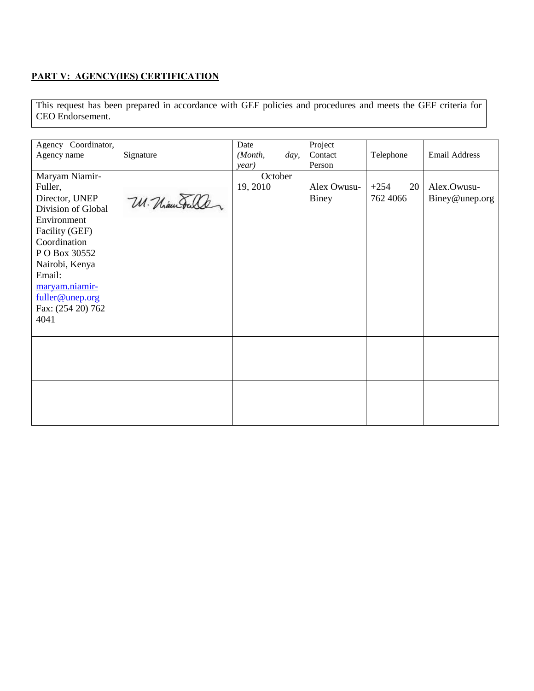# **PART V: AGENCY(IES) CERTIFICATION**

This request has been prepared in accordance with GEF policies and procedures and meets the GEF criteria for CEO Endorsement.

| Agency Coordinator, |              | Date     |      | Project      |              |                      |
|---------------------|--------------|----------|------|--------------|--------------|----------------------|
| Agency name         | Signature    | (Month,  | day, | Contact      | Telephone    | <b>Email Address</b> |
|                     |              | year)    |      | Person       |              |                      |
| Maryam Niamir-      |              | October  |      |              |              |                      |
| Fuller,             |              | 19, 2010 |      | Alex Owusu-  | $+254$<br>20 | Alex.Owusu-          |
| Director, UNEP      | U. Maurouler |          |      | <b>Biney</b> | 762 4066     | Biney@unep.org       |
| Division of Global  |              |          |      |              |              |                      |
| Environment         |              |          |      |              |              |                      |
| Facility (GEF)      |              |          |      |              |              |                      |
| Coordination        |              |          |      |              |              |                      |
| P O Box 30552       |              |          |      |              |              |                      |
| Nairobi, Kenya      |              |          |      |              |              |                      |
| Email:              |              |          |      |              |              |                      |
| maryam.niamir-      |              |          |      |              |              |                      |
| fuller@unep.org     |              |          |      |              |              |                      |
| Fax: (254 20) 762   |              |          |      |              |              |                      |
| 4041                |              |          |      |              |              |                      |
|                     |              |          |      |              |              |                      |
|                     |              |          |      |              |              |                      |
|                     |              |          |      |              |              |                      |
|                     |              |          |      |              |              |                      |
|                     |              |          |      |              |              |                      |
|                     |              |          |      |              |              |                      |
|                     |              |          |      |              |              |                      |
|                     |              |          |      |              |              |                      |
|                     |              |          |      |              |              |                      |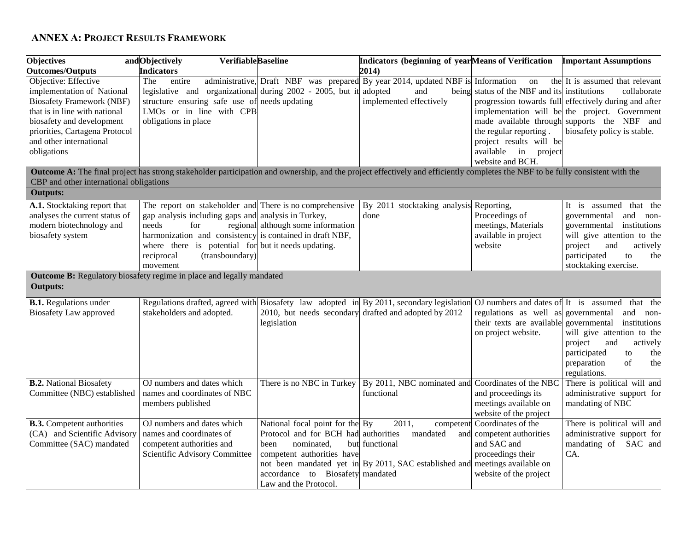# **ANNEX A: PROJECT RESULTS FRAMEWORK**

| <b>Objectives</b>                       | andObjectively<br><b>VerifiableBaseline</b>                                                                                                                                           |                                      | Indicators (beginning of yearMeans of Verification                              |                                       | <b>Important Assumptions</b>                          |
|-----------------------------------------|---------------------------------------------------------------------------------------------------------------------------------------------------------------------------------------|--------------------------------------|---------------------------------------------------------------------------------|---------------------------------------|-------------------------------------------------------|
| <b>Outcomes/Outputs</b>                 | <b>Indicators</b>                                                                                                                                                                     |                                      | 2014)                                                                           |                                       |                                                       |
| Objective: Effective                    | The<br>entire                                                                                                                                                                         |                                      | administrative, Draft NBF was prepared By year 2014, updated NBF is Information | on                                    | the It is assumed that relevant                       |
| implementation of National              | legislative and organizational during 2002 - 2005, but it                                                                                                                             |                                      | adopted<br>and                                                                  | being status of the NBF and its       | institutions<br>collaborate                           |
| <b>Biosafety Framework (NBF)</b>        | structure ensuring safe use of needs updating                                                                                                                                         |                                      | implemented effectively                                                         |                                       | progression towards full effectively during and after |
| that is in line with national           | LMOs or in line with CPB                                                                                                                                                              |                                      |                                                                                 |                                       | implementation will be the project. Government        |
| biosafety and development               | obligations in place                                                                                                                                                                  |                                      |                                                                                 | made available through                | supports the NBF and                                  |
| priorities, Cartagena Protocol          |                                                                                                                                                                                       |                                      |                                                                                 | the regular reporting.                | biosafety policy is stable.                           |
| and other international                 |                                                                                                                                                                                       |                                      |                                                                                 | project results will be               |                                                       |
| obligations                             |                                                                                                                                                                                       |                                      |                                                                                 | available in project                  |                                                       |
|                                         |                                                                                                                                                                                       |                                      |                                                                                 | website and BCH.                      |                                                       |
|                                         | <b>Outcome A:</b> The final project has strong stakeholder participation and ownership, and the project effectively and efficiently completes the NBF to be fully consistent with the |                                      |                                                                                 |                                       |                                                       |
| CBP and other international obligations |                                                                                                                                                                                       |                                      |                                                                                 |                                       |                                                       |
| <b>Outputs:</b>                         |                                                                                                                                                                                       |                                      |                                                                                 |                                       |                                                       |
| A.1. Stocktaking report that            | The report on stakeholder and There is no comprehensive                                                                                                                               |                                      | By 2011 stocktaking analysis Reporting,                                         |                                       | It is assumed that the                                |
| analyses the current status of          | gap analysis including gaps and analysis in Turkey,                                                                                                                                   |                                      | done                                                                            | Proceedings of                        | governmental<br>and non-                              |
| modern biotechnology and                | needs<br>for                                                                                                                                                                          | regional although some information   |                                                                                 | meetings, Materials                   | institutions<br>governmental                          |
| biosafety system                        | harmonization and consistency is contained in draft NBF,                                                                                                                              |                                      |                                                                                 | available in project                  | will give attention to the                            |
|                                         | where there is potential for but it needs updating.                                                                                                                                   |                                      |                                                                                 | website                               | project<br>and<br>actively                            |
|                                         | reciprocal<br>(transboundary)                                                                                                                                                         |                                      |                                                                                 |                                       | participated<br>to<br>the                             |
|                                         | movement                                                                                                                                                                              |                                      |                                                                                 |                                       | stocktaking exercise.                                 |
|                                         | <b>Outcome B:</b> Regulatory biosafety regime in place and legally mandated                                                                                                           |                                      |                                                                                 |                                       |                                                       |
| <b>Outputs:</b>                         |                                                                                                                                                                                       |                                      |                                                                                 |                                       |                                                       |
| <b>B.1.</b> Regulations under           | Regulations drafted, agreed with Biosafety law adopted in By 2011, secondary legislation                                                                                              |                                      |                                                                                 | OJ numbers and dates of It is assumed | that the                                              |
| Biosafety Law approved                  | stakeholders and adopted.                                                                                                                                                             |                                      | 2010, but needs secondary drafted and adopted by 2012                           | regulations as well as                | governmental<br>and non-                              |
|                                         |                                                                                                                                                                                       | legislation                          |                                                                                 | their texts are available             | governmental<br>institutions                          |
|                                         |                                                                                                                                                                                       |                                      |                                                                                 | on project website.                   | will give attention to the                            |
|                                         |                                                                                                                                                                                       |                                      |                                                                                 |                                       | project<br>and<br>actively                            |
|                                         |                                                                                                                                                                                       |                                      |                                                                                 |                                       | participated<br>to<br>the                             |
|                                         |                                                                                                                                                                                       |                                      |                                                                                 |                                       | preparation<br>of<br>the                              |
|                                         |                                                                                                                                                                                       |                                      |                                                                                 |                                       | regulations.                                          |
| <b>B.2.</b> National Biosafety          | OJ numbers and dates which                                                                                                                                                            |                                      | There is no NBC in Turkey   By 2011, NBC nominated and Coordinates of the NBC   |                                       | There is political will and                           |
| Committee (NBC) established             | names and coordinates of NBC                                                                                                                                                          |                                      | functional                                                                      | and proceedings its                   | administrative support for                            |
|                                         | members published                                                                                                                                                                     |                                      |                                                                                 | meetings available on                 | mandating of NBC                                      |
|                                         |                                                                                                                                                                                       |                                      |                                                                                 | website of the project                |                                                       |
| <b>B.3.</b> Competent authorities       | OJ numbers and dates which                                                                                                                                                            | National focal point for the By      | 2011,<br>competent                                                              | Coordinates of the                    | There is political will and                           |
| (CA) and Scientific Advisory            | names and coordinates of                                                                                                                                                              | Protocol and for BCH had authorities | mandated<br>and                                                                 | competent authorities                 | administrative support for                            |
| Committee (SAC) mandated                | competent authorities and                                                                                                                                                             | nominated,<br>been                   | but functional                                                                  | and SAC and                           | mandating of SAC and                                  |
|                                         | Scientific Advisory Committee                                                                                                                                                         | competent authorities have           |                                                                                 | proceedings their                     | CA.                                                   |
|                                         |                                                                                                                                                                                       |                                      | not been mandated yet in By 2011, SAC established and meetings available on     |                                       |                                                       |
|                                         |                                                                                                                                                                                       | accordance to Biosafety mandated     |                                                                                 | website of the project                |                                                       |
|                                         |                                                                                                                                                                                       | Law and the Protocol.                |                                                                                 |                                       |                                                       |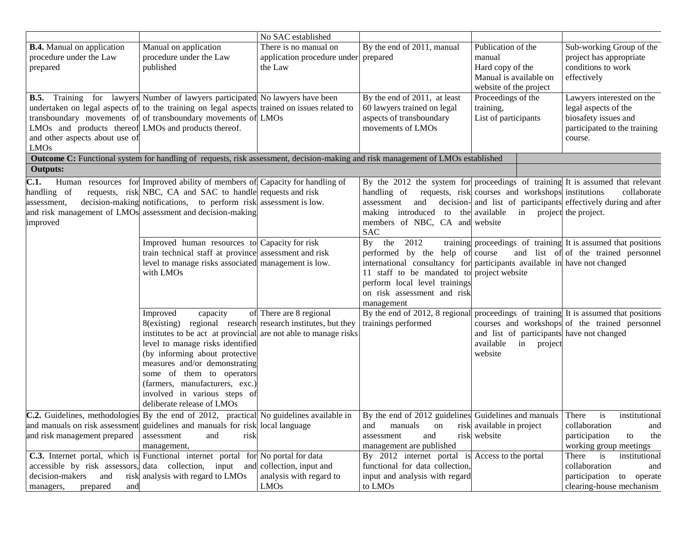|                                                                                                                |                                                                                                                                                                                                                                                                                                                                                                                            | No SAC established                                                       |                                                                                                                                                                                                                                                           |                                                                                    |                                                                                                                      |
|----------------------------------------------------------------------------------------------------------------|--------------------------------------------------------------------------------------------------------------------------------------------------------------------------------------------------------------------------------------------------------------------------------------------------------------------------------------------------------------------------------------------|--------------------------------------------------------------------------|-----------------------------------------------------------------------------------------------------------------------------------------------------------------------------------------------------------------------------------------------------------|------------------------------------------------------------------------------------|----------------------------------------------------------------------------------------------------------------------|
| <b>B.4.</b> Manual on application<br>procedure under the Law<br>prepared                                       | Manual on application<br>procedure under the Law<br>published                                                                                                                                                                                                                                                                                                                              | There is no manual on<br>application procedure under prepared<br>the Law | By the end of 2011, manual                                                                                                                                                                                                                                | Publication of the<br>manual<br>Hard copy of the<br>Manual is available on         | Sub-working Group of the<br>project has appropriate<br>conditions to work<br>effectively                             |
| LMOs and products thereof LMOs and products thereof.<br>and other aspects about use of                         | <b>B.5.</b> Training for lawyers Number of lawyers participated No lawyers have been<br>undertaken on legal aspects of to the training on legal aspects trained on issues related to<br>transboundary movements of of transboundary movements of LMOs                                                                                                                                      |                                                                          | By the end of 2011, at least<br>60 lawyers trained on legal<br>aspects of transboundary<br>movements of LMOs                                                                                                                                              | website of the project<br>Proceedings of the<br>training,<br>List of participants  | Lawyers interested on the<br>legal aspects of the<br>biosafety issues and<br>participated to the training<br>course. |
| <b>LMOs</b>                                                                                                    | Outcome C: Functional system for handling of requests, risk assessment, decision-making and risk management of LMOs established                                                                                                                                                                                                                                                            |                                                                          |                                                                                                                                                                                                                                                           |                                                                                    |                                                                                                                      |
| <b>Outputs:</b>                                                                                                |                                                                                                                                                                                                                                                                                                                                                                                            |                                                                          |                                                                                                                                                                                                                                                           |                                                                                    |                                                                                                                      |
| C.1.<br>handling of<br>assessment,<br>improved                                                                 | Human resources for Improved ability of members of Capacity for handling of<br>requests, risk NBC, CA and SAC to handle requests and risk<br>decision-making notifications, to perform risk assessment is low.<br>and risk management of LMOs assessment and decision-making                                                                                                               |                                                                          | By the 2012 the system for proceedings of training It is assumed that relevant<br>handling of<br>and<br>assessment<br>making introduced to the available in project the project.<br>members of NBC, CA and website<br><b>SAC</b>                          | requests, risk courses and workshops institutions                                  | collaborate<br>decision- and list of participants effectively during and after                                       |
|                                                                                                                | Improved human resources to Capacity for risk<br>train technical staff at province assessment and risk<br>level to manage risks associated management is low.<br>with LMOs                                                                                                                                                                                                                 |                                                                          | 2012<br>By the<br>performed by the help of course<br>international consultancy for participants available in have not changed<br>11 staff to be mandated to project website<br>perform local level trainings<br>on risk assessment and risk<br>management |                                                                                    | training proceedings of training It is assumed that positions<br>and list of of the trained personnel                |
|                                                                                                                | capacity<br>Improved<br>8(existing) regional research research institutes, but they<br>institutes to be act at provincial are not able to manage risks<br>level to manage risks identified<br>(by informing about protective<br>measures and/or demonstrating<br>some of them to operators<br>(farmers, manufacturers, exc.)<br>involved in various steps of<br>deliberate release of LMOs | of There are 8 regional                                                  | By the end of 2012, 8 regional proceedings of training It is assumed that positions<br>trainings performed                                                                                                                                                | and list of participants have not changed<br>available<br>in<br>project<br>website | courses and workshops of the trained personnel                                                                       |
| and risk management prepared                                                                                   | <b>C.2.</b> Guidelines, methodologies By the end of 2012, practical No guidelines available in By the end of 2012 guidelines Guidelines and manuals There<br>and manuals on risk assessment guidelines and manuals for risk local language<br>assessment<br>risk<br>and<br>management,                                                                                                     |                                                                          | manuals<br>and<br>on<br>and<br>assessment<br>management are published                                                                                                                                                                                     | risk available in project<br>risk website                                          | institutional<br>is<br>collaboration<br>and<br>participation<br>the<br>to<br>working group meetings                  |
| accessible by risk assessors, data collection, input<br>decision-makers<br>and<br>managers,<br>prepared<br>and | <b>C.3.</b> Internet portal, which is Functional internet portal for No portal for data<br>and<br>risk analysis with regard to LMOs                                                                                                                                                                                                                                                        | collection, input and<br>analysis with regard to<br>LMOs                 | By 2012 internet portal is Access to the portal<br>functional for data collection,<br>input and analysis with regard<br>to LMOs                                                                                                                           |                                                                                    | There<br>is<br>institutional<br>collaboration<br>and<br>participation<br>to operate<br>clearing-house mechanism      |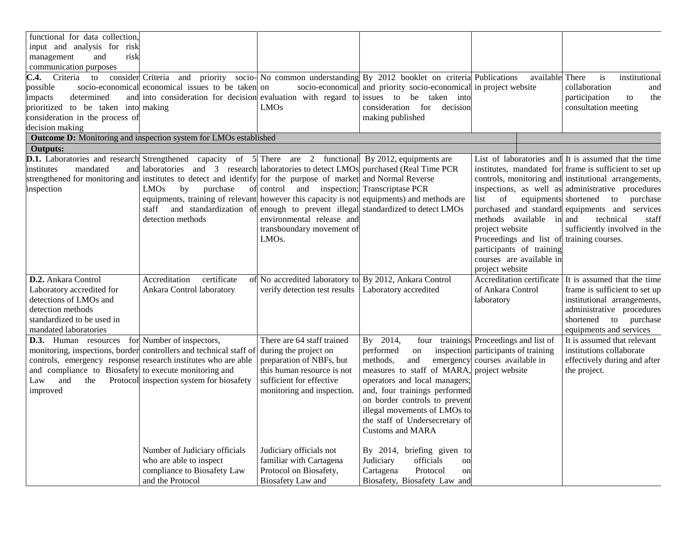| functional for data collection,                       |                                                                                                                |                                                        |                                                                         |                                                              |                                                        |
|-------------------------------------------------------|----------------------------------------------------------------------------------------------------------------|--------------------------------------------------------|-------------------------------------------------------------------------|--------------------------------------------------------------|--------------------------------------------------------|
| input and analysis for risk                           |                                                                                                                |                                                        |                                                                         |                                                              |                                                        |
| management<br>and<br>risk                             |                                                                                                                |                                                        |                                                                         |                                                              |                                                        |
| communication purposes                                |                                                                                                                |                                                        |                                                                         |                                                              |                                                        |
| C.4.<br>Criteria<br>to                                | consider Criteria and<br>priority                                                                              |                                                        | socio- No common understanding By 2012 booklet on criteria Publications | available There                                              | institutional<br>is                                    |
| possible                                              | socio-economical economical issues to be taken on                                                              |                                                        | socio-economical and priority socio-economical in project website       |                                                              | collaboration<br>and                                   |
| determined<br>impacts                                 | and into consideration for decision evaluation with regard to issues to be taken                               |                                                        | into                                                                    |                                                              | participation<br>the<br>to                             |
| prioritized to be taken into making                   |                                                                                                                | <b>LMOs</b>                                            | consideration for<br>decision                                           |                                                              | consultation meeting                                   |
| consideration in the process of                       |                                                                                                                |                                                        | making published                                                        |                                                              |                                                        |
| decision making                                       |                                                                                                                |                                                        |                                                                         |                                                              |                                                        |
|                                                       | <b>Outcome D:</b> Monitoring and inspection system for LMOs established                                        |                                                        |                                                                         |                                                              |                                                        |
| <b>Outputs:</b>                                       |                                                                                                                |                                                        |                                                                         |                                                              |                                                        |
|                                                       | <b>D.1.</b> Laboratories and research Strengthened capacity of $5$ There are 2                                 |                                                        | functional By 2012, equipments are                                      |                                                              | List of laboratories and It is assumed that the time   |
| institutes<br>mandated                                | and laboratories and 3 research laboratories to detect LMOs purchased (Real Time PCR                           |                                                        |                                                                         |                                                              | institutes, mandated for frame is sufficient to set up |
|                                                       | strengthened for monitoring and institutes to detect and identify for the purpose of market and Normal Reverse |                                                        |                                                                         |                                                              | controls, monitoring and institutional arrangements,   |
| inspection                                            | <b>LMOs</b><br>by<br>purchase                                                                                  | of control and inspection; Transcriptase PCR           |                                                                         |                                                              | inspections, as well as administrative procedures      |
|                                                       | equipments, training of relevant however this capacity is not equipments) and methods are                      |                                                        |                                                                         | equipments shortened<br>list<br>of                           | to purchase                                            |
|                                                       | staff<br>and standardization of<br>detection methods                                                           |                                                        | enough to prevent illegal standardized to detect LMOs                   |                                                              | purchased and standard equipments and services         |
|                                                       |                                                                                                                | environmental release and                              |                                                                         | methods available in and                                     | technical<br>staff<br>sufficiently involved in the     |
|                                                       |                                                                                                                | transboundary movement of<br>LMO <sub>s</sub> .        |                                                                         | project website<br>Proceedings and list of training courses. |                                                        |
|                                                       |                                                                                                                |                                                        |                                                                         | participants of training                                     |                                                        |
|                                                       |                                                                                                                |                                                        |                                                                         | courses are available in                                     |                                                        |
|                                                       |                                                                                                                |                                                        |                                                                         | project website                                              |                                                        |
| D.2. Ankara Control                                   | certificate<br>Accreditation                                                                                   | of No accredited laboratory to By 2012, Ankara Control |                                                                         |                                                              | Accreditation certificate It is assumed that the time  |
| Laboratory accredited for                             | Ankara Control laboratory                                                                                      | verify detection test results                          | Laboratory accredited                                                   | of Ankara Control                                            | frame is sufficient to set up                          |
| detections of LMOs and                                |                                                                                                                |                                                        |                                                                         | laboratory                                                   | institutional arrangements,                            |
| detection methods                                     |                                                                                                                |                                                        |                                                                         |                                                              | administrative procedures                              |
| standardized to be used in                            |                                                                                                                |                                                        |                                                                         |                                                              | shortened to purchase                                  |
| mandated laboratories                                 |                                                                                                                |                                                        |                                                                         |                                                              | equipments and services                                |
| <b>D.3.</b> Human resources for Number of inspectors, |                                                                                                                | There are 64 staff trained                             | By 2014,<br>four trainings                                              | Proceedings and list of                                      | It is assumed that relevant                            |
|                                                       | monitoring, inspections, border controllers and technical staff of                                             | during the project on                                  | inspection<br>performed<br>on                                           | participants of training                                     | institutions collaborate                               |
|                                                       | controls, emergency response research institutes who are able                                                  | preparation of NBFs, but                               | methods,<br>and<br>emergency                                            | courses available in                                         | effectively during and after                           |
| and compliance to Biosafety to execute monitoring and |                                                                                                                | this human resource is not                             | measures to staff of MARA,                                              | project website                                              | the project.                                           |
| and<br>Law<br>the                                     | Protocol inspection system for biosafety                                                                       | sufficient for effective                               | operators and local managers;                                           |                                                              |                                                        |
| improved                                              |                                                                                                                | monitoring and inspection.                             | and, four trainings performed                                           |                                                              |                                                        |
|                                                       |                                                                                                                |                                                        | on border controls to prevent                                           |                                                              |                                                        |
|                                                       |                                                                                                                |                                                        | illegal movements of LMOs to                                            |                                                              |                                                        |
|                                                       |                                                                                                                |                                                        | the staff of Undersecretary of                                          |                                                              |                                                        |
|                                                       |                                                                                                                |                                                        | <b>Customs and MARA</b>                                                 |                                                              |                                                        |
|                                                       |                                                                                                                |                                                        |                                                                         |                                                              |                                                        |
|                                                       | Number of Judiciary officials                                                                                  | Judiciary officials not                                | By 2014, briefing given to                                              |                                                              |                                                        |
|                                                       | who are able to inspect<br>compliance to Biosafety Law                                                         | familiar with Cartagena<br>Protocol on Biosafety,      | officials<br>Judiciary<br>on<br>Cartagena                               |                                                              |                                                        |
|                                                       | and the Protocol                                                                                               | Biosafety Law and                                      | Protocol<br>on<br>Biosafety, Biosafety Law and                          |                                                              |                                                        |
|                                                       |                                                                                                                |                                                        |                                                                         |                                                              |                                                        |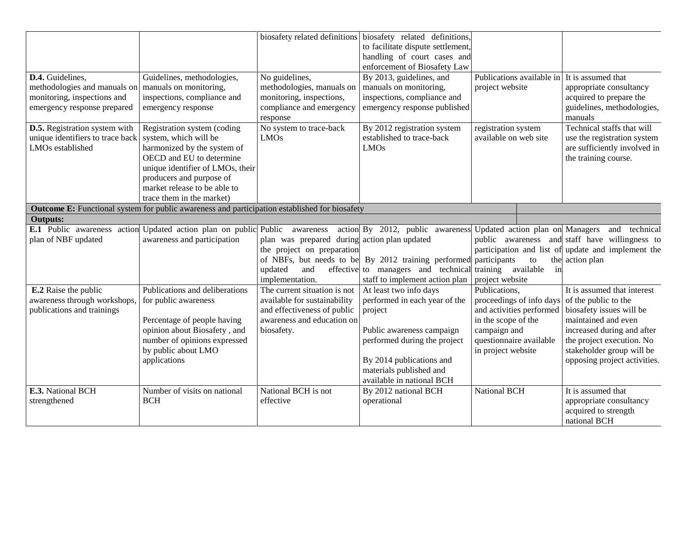|                                      |                                                                                                      |                                              | biosafety related definitions biosafety related definitions,     |                                 |                                                    |
|--------------------------------------|------------------------------------------------------------------------------------------------------|----------------------------------------------|------------------------------------------------------------------|---------------------------------|----------------------------------------------------|
|                                      |                                                                                                      |                                              | to facilitate dispute settlement,                                |                                 |                                                    |
|                                      |                                                                                                      |                                              | handling of court cases and                                      |                                 |                                                    |
|                                      |                                                                                                      |                                              | enforcement of Biosafety Law                                     |                                 |                                                    |
| D.4. Guidelines,                     | Guidelines, methodologies,                                                                           | No guidelines,                               | By 2013, guidelines, and                                         | Publications available in       | It is assumed that                                 |
| methodologies and manuals on         | manuals on monitoring,                                                                               | methodologies, manuals on                    | manuals on monitoring,                                           | project website                 | appropriate consultancy                            |
| monitoring, inspections and          | inspections, compliance and                                                                          | monitoring, inspections,                     | inspections, compliance and                                      |                                 | acquired to prepare the                            |
| emergency response prepared          | emergency response                                                                                   | compliance and emergency                     | emergency response published                                     |                                 | guidelines, methodologies,                         |
|                                      |                                                                                                      | response                                     |                                                                  |                                 | manuals                                            |
| <b>D.5.</b> Registration system with | Registration system (coding                                                                          | No system to trace-back                      | By 2012 registration system                                      | registration system             | Technical staffs that will                         |
| unique identifiers to trace back     | system, which will be                                                                                | <b>LMOs</b>                                  | established to trace-back                                        | available on web site           | use the registration system                        |
| LMO <sub>s</sub> established         | harmonized by the system of                                                                          |                                              | <b>LMOs</b>                                                      |                                 | are sufficiently involved in                       |
|                                      | OECD and EU to determine                                                                             |                                              |                                                                  |                                 | the training course.                               |
|                                      | unique identifier of LMOs, their                                                                     |                                              |                                                                  |                                 |                                                    |
|                                      | producers and purpose of                                                                             |                                              |                                                                  |                                 |                                                    |
|                                      | market release to be able to                                                                         |                                              |                                                                  |                                 |                                                    |
|                                      | trace them in the market)                                                                            |                                              |                                                                  |                                 |                                                    |
|                                      | <b>Outcome E:</b> Functional system for public awareness and participation established for biosafety |                                              |                                                                  |                                 |                                                    |
| <b>Outputs:</b>                      |                                                                                                      |                                              |                                                                  |                                 |                                                    |
| E.1 Public awareness action          | Updated action plan on public Public awareness                                                       |                                              | action By 2012, public awareness                                 | Updated action plan on Managers | and technical                                      |
| plan of NBF updated                  | awareness and participation                                                                          | plan was prepared during action plan updated |                                                                  |                                 | public awareness and staff have willingness to     |
|                                      |                                                                                                      | the project on preparation                   |                                                                  |                                 | participation and list of update and implement the |
|                                      |                                                                                                      |                                              | of NBFs, but needs to be By 2012 training performed participants | to                              | the action plan                                    |
|                                      |                                                                                                      | and<br>updated                               | effective to managers and technical                              | training available<br>in        |                                                    |
|                                      |                                                                                                      | implementation.                              | staff to implement action plan                                   | project website                 |                                                    |
| <b>E.2</b> Raise the public          | Publications and deliberations                                                                       | The current situation is not                 | At least two info days                                           | Publications,                   | It is assumed that interest                        |
| awareness through workshops,         | for public awareness                                                                                 | available for sustainability                 | performed in each year of the                                    | proceedings of info days        | of the public to the                               |
| publications and trainings           |                                                                                                      | and effectiveness of public                  | project                                                          | and activities performed        | biosafety issues will be                           |
|                                      | Percentage of people having                                                                          | awareness and education on                   |                                                                  | in the scope of the             | maintained and even                                |
|                                      | opinion about Biosafety, and                                                                         | biosafety.                                   | Public awareness campaign                                        | campaign and                    | increased during and after                         |
|                                      | number of opinions expressed                                                                         |                                              | performed during the project                                     | questionnaire available         | the project execution. No                          |
|                                      | by public about LMO                                                                                  |                                              |                                                                  | in project website              | stakeholder group will be                          |
|                                      | applications                                                                                         |                                              | By 2014 publications and                                         |                                 | opposing project activities.                       |
|                                      |                                                                                                      |                                              | materials published and                                          |                                 |                                                    |
|                                      |                                                                                                      |                                              | available in national BCH                                        |                                 |                                                    |
| E.3. National BCH                    | Number of visits on national                                                                         | National BCH is not                          | By 2012 national BCH                                             | <b>National BCH</b>             | It is assumed that                                 |
| strengthened                         | <b>BCH</b>                                                                                           | effective                                    | operational                                                      |                                 | appropriate consultancy                            |
|                                      |                                                                                                      |                                              |                                                                  |                                 | acquired to strength                               |
|                                      |                                                                                                      |                                              |                                                                  |                                 | national BCH                                       |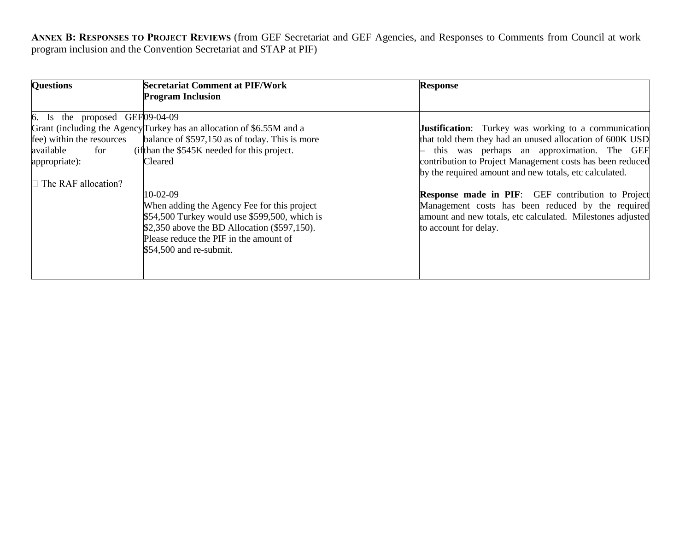**ANNEX B: RESPONSES TO PROJECT REVIEWS** (from GEF Secretariat and GEF Agencies, and Responses to Comments from Council at work program inclusion and the Convention Secretariat and STAP at PIF)

| <b>Questions</b>                                                                       | <b>Secretariat Comment at PIF/Work</b>                                                                                                                                                                                            | <b>Response</b>                                                                                                                                                                                      |
|----------------------------------------------------------------------------------------|-----------------------------------------------------------------------------------------------------------------------------------------------------------------------------------------------------------------------------------|------------------------------------------------------------------------------------------------------------------------------------------------------------------------------------------------------|
|                                                                                        | <b>Program Inclusion</b>                                                                                                                                                                                                          |                                                                                                                                                                                                      |
| $6.$ Is the proposed GEF $[09-04-09]$<br>fee) within the resources<br>available<br>for | Grant (including the Agency Turkey has an allocation of \$6.55M and a<br>balance of \$597,150 as of today. This is more<br>(ifthan the \$545K needed for this project.                                                            | <b>Justification:</b> Turkey was working to a communication<br>that told them they had an unused allocation of 600K USD<br>this was perhaps an approximation. The GEF                                |
| appropriate):<br>The RAF allocation?                                                   | Cleared                                                                                                                                                                                                                           | contribution to Project Management costs has been reduced<br>by the required amount and new totals, etc calculated.                                                                                  |
|                                                                                        | $10-02-09$<br>When adding the Agency Fee for this project<br>$$54,500$ Turkey would use \$599,500, which is<br>\$2,350 above the BD Allocation (\$597,150).<br>Please reduce the PIF in the amount of<br>$$54,500$ and re-submit. | <b>Response made in PIF:</b> GEF contribution to Project<br>Management costs has been reduced by the required<br>amount and new totals, etc calculated. Milestones adjusted<br>to account for delay. |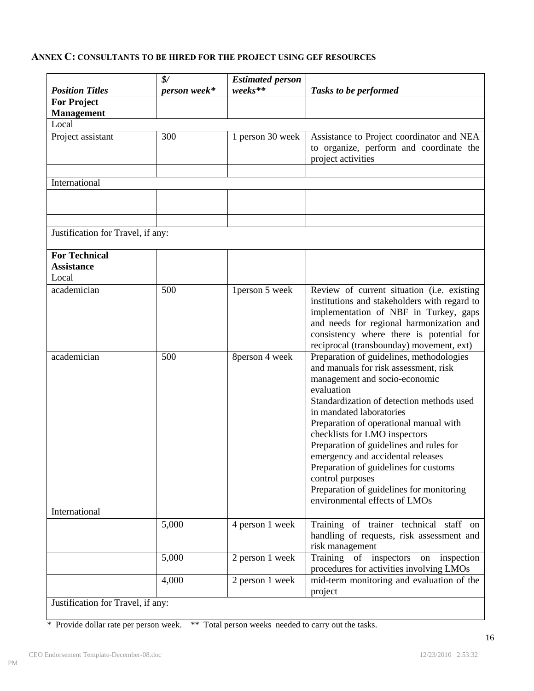# **ANNEX C: CONSULTANTS TO BE HIRED FOR THE PROJECT USING GEF RESOURCES**

| <b>Position Titles</b>                    | $\frac{1}{2}$<br>person week* | <b>Estimated person</b><br>weeks** | Tasks to be performed                                                                                                                                                                                                                                                                                                                                                                                                                                                                                          |
|-------------------------------------------|-------------------------------|------------------------------------|----------------------------------------------------------------------------------------------------------------------------------------------------------------------------------------------------------------------------------------------------------------------------------------------------------------------------------------------------------------------------------------------------------------------------------------------------------------------------------------------------------------|
| <b>For Project</b>                        |                               |                                    |                                                                                                                                                                                                                                                                                                                                                                                                                                                                                                                |
| <b>Management</b>                         |                               |                                    |                                                                                                                                                                                                                                                                                                                                                                                                                                                                                                                |
| Local                                     |                               |                                    |                                                                                                                                                                                                                                                                                                                                                                                                                                                                                                                |
| Project assistant                         | 300                           | 1 person 30 week                   | Assistance to Project coordinator and NEA<br>to organize, perform and coordinate the<br>project activities                                                                                                                                                                                                                                                                                                                                                                                                     |
| International                             |                               |                                    |                                                                                                                                                                                                                                                                                                                                                                                                                                                                                                                |
|                                           |                               |                                    |                                                                                                                                                                                                                                                                                                                                                                                                                                                                                                                |
|                                           |                               |                                    |                                                                                                                                                                                                                                                                                                                                                                                                                                                                                                                |
|                                           |                               |                                    |                                                                                                                                                                                                                                                                                                                                                                                                                                                                                                                |
| Justification for Travel, if any:         |                               |                                    |                                                                                                                                                                                                                                                                                                                                                                                                                                                                                                                |
| <b>For Technical</b><br><b>Assistance</b> |                               |                                    |                                                                                                                                                                                                                                                                                                                                                                                                                                                                                                                |
| Local                                     |                               |                                    |                                                                                                                                                                                                                                                                                                                                                                                                                                                                                                                |
| academician                               | 500                           | 1 person 5 week                    | Review of current situation (i.e. existing<br>institutions and stakeholders with regard to<br>implementation of NBF in Turkey, gaps<br>and needs for regional harmonization and<br>consistency where there is potential for<br>reciprocal (transbounday) movement, ext)                                                                                                                                                                                                                                        |
| academician                               | 500                           | 8person 4 week                     | Preparation of guidelines, methodologies<br>and manuals for risk assessment, risk<br>management and socio-economic<br>evaluation<br>Standardization of detection methods used<br>in mandated laboratories<br>Preparation of operational manual with<br>checklists for LMO inspectors<br>Preparation of guidelines and rules for<br>emergency and accidental releases<br>Preparation of guidelines for customs<br>control purposes<br>Preparation of guidelines for monitoring<br>environmental effects of LMOs |
| International                             |                               |                                    |                                                                                                                                                                                                                                                                                                                                                                                                                                                                                                                |
|                                           | 5,000                         | 4 person 1 week                    | Training of trainer technical staff on<br>handling of requests, risk assessment and<br>risk management                                                                                                                                                                                                                                                                                                                                                                                                         |
|                                           | 5,000                         | 2 person 1 week                    | Training<br>of inspectors<br>inspection<br>on<br>procedures for activities involving LMOs                                                                                                                                                                                                                                                                                                                                                                                                                      |
| Justification for Travel, if any:         | 4,000                         | 2 person 1 week                    | mid-term monitoring and evaluation of the<br>project                                                                                                                                                                                                                                                                                                                                                                                                                                                           |

\* Provide dollar rate per person week. \*\* Total person weeks needed to carry out the tasks.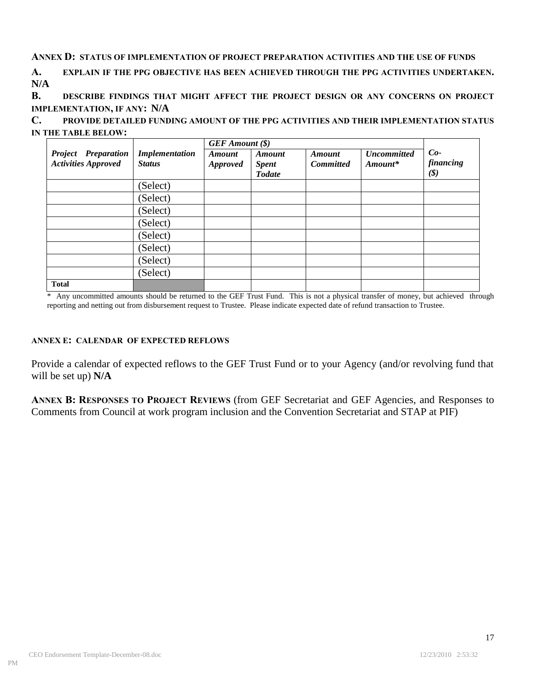## **ANNEX D: STATUS OF IMPLEMENTATION OF PROJECT PREPARATION ACTIVITIES AND THE USE OF FUNDS**

**A. EXPLAIN IF THE PPG OBJECTIVE HAS BEEN ACHIEVED THROUGH THE PPG ACTIVITIES UNDERTAKEN. N/A**

**B. DESCRIBE FINDINGS THAT MIGHT AFFECT THE PROJECT DESIGN OR ANY CONCERNS ON PROJECT IMPLEMENTATION, IF ANY: N/A**

**C. PROVIDE DETAILED FUNDING AMOUNT OF THE PPG ACTIVITIES AND THEIR IMPLEMENTATION STATUS IN THE TABLE BELOW:**

|                                                          | <b>Implementation</b><br><b>Status</b> | <b>GEF</b> Amount (\$)    |                                                |                                   |                                 |                                                    |
|----------------------------------------------------------|----------------------------------------|---------------------------|------------------------------------------------|-----------------------------------|---------------------------------|----------------------------------------------------|
| <b>Project</b> Preparation<br><b>Activities Approved</b> |                                        | Amount<br><b>Approved</b> | <b>Amount</b><br><b>Spent</b><br><b>Todate</b> | <b>Amount</b><br><b>Committed</b> | <b>Uncommitted</b><br>$Amount*$ | $Co-$<br>financing<br>$(\boldsymbol{\mathcal{S}})$ |
|                                                          | (Select)                               |                           |                                                |                                   |                                 |                                                    |
|                                                          | (Select)                               |                           |                                                |                                   |                                 |                                                    |
|                                                          | (Select)                               |                           |                                                |                                   |                                 |                                                    |
|                                                          | (Select)                               |                           |                                                |                                   |                                 |                                                    |
|                                                          | (Select)                               |                           |                                                |                                   |                                 |                                                    |
|                                                          | (Select)                               |                           |                                                |                                   |                                 |                                                    |
|                                                          | (Select)                               |                           |                                                |                                   |                                 |                                                    |
|                                                          | (Select)                               |                           |                                                |                                   |                                 |                                                    |
| <b>Total</b>                                             |                                        |                           |                                                |                                   |                                 |                                                    |

\* Any uncommitted amounts should be returned to the GEF Trust Fund. This is not a physical transfer of money, but achieved through reporting and netting out from disbursement request to Trustee. Please indicate expected date of refund transaction to Trustee.

## **ANNEX E: CALENDAR OF EXPECTED REFLOWS**

Provide a calendar of expected reflows to the GEF Trust Fund or to your Agency (and/or revolving fund that will be set up) **N/A**

**ANNEX B: RESPONSES TO PROJECT REVIEWS** (from GEF Secretariat and GEF Agencies, and Responses to Comments from Council at work program inclusion and the Convention Secretariat and STAP at PIF)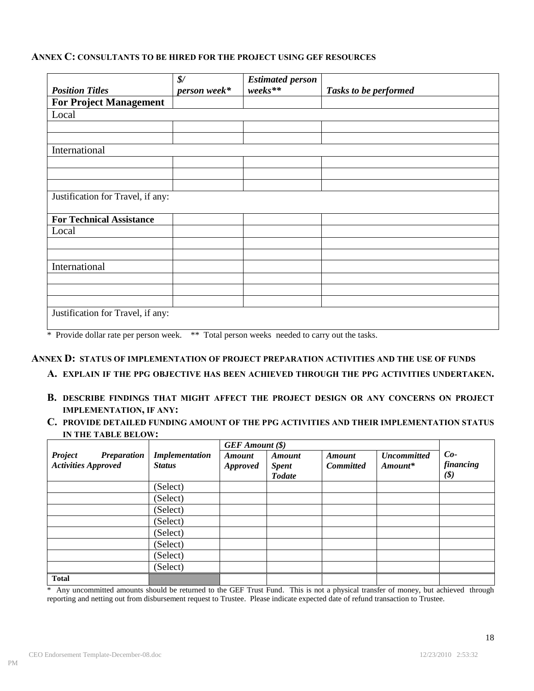### **ANNEX C: CONSULTANTS TO BE HIRED FOR THE PROJECT USING GEF RESOURCES**

|                                                      | $\frac{1}{2}$                                                                                                      | <b>Estimated person</b>  |                       |  |  |  |
|------------------------------------------------------|--------------------------------------------------------------------------------------------------------------------|--------------------------|-----------------------|--|--|--|
| <b>Position Titles</b>                               | person week*                                                                                                       | $\emph{weeks**}$         | Tasks to be performed |  |  |  |
| <b>For Project Management</b>                        |                                                                                                                    |                          |                       |  |  |  |
| Local                                                |                                                                                                                    |                          |                       |  |  |  |
|                                                      |                                                                                                                    |                          |                       |  |  |  |
|                                                      |                                                                                                                    |                          |                       |  |  |  |
| International                                        |                                                                                                                    |                          |                       |  |  |  |
|                                                      |                                                                                                                    |                          |                       |  |  |  |
|                                                      |                                                                                                                    |                          |                       |  |  |  |
|                                                      |                                                                                                                    |                          |                       |  |  |  |
| Justification for Travel, if any:                    |                                                                                                                    |                          |                       |  |  |  |
| <b>For Technical Assistance</b>                      |                                                                                                                    |                          |                       |  |  |  |
| Local                                                |                                                                                                                    |                          |                       |  |  |  |
|                                                      |                                                                                                                    |                          |                       |  |  |  |
|                                                      |                                                                                                                    |                          |                       |  |  |  |
| International                                        |                                                                                                                    |                          |                       |  |  |  |
|                                                      |                                                                                                                    |                          |                       |  |  |  |
|                                                      |                                                                                                                    |                          |                       |  |  |  |
|                                                      |                                                                                                                    |                          |                       |  |  |  |
|                                                      |                                                                                                                    |                          |                       |  |  |  |
| Justification for Travel, if any:<br>$46.75 - 14.11$ | $\mathbf{A}$ and $\mathbf{A}$ and $\mathbf{A}$ and $\mathbf{A}$ and $\mathbf{A}$ and $\mathbf{A}$ and $\mathbf{A}$ | $-1$ $-1$ $-1$ $-1$ $-1$ |                       |  |  |  |

\* Provide dollar rate per person week. \*\* Total person weeks needed to carry out the tasks.

#### **ANNEX D: STATUS OF IMPLEMENTATION OF PROJECT PREPARATION ACTIVITIES AND THE USE OF FUNDS**

**A. EXPLAIN IF THE PPG OBJECTIVE HAS BEEN ACHIEVED THROUGH THE PPG ACTIVITIES UNDERTAKEN.** 

- **B. DESCRIBE FINDINGS THAT MIGHT AFFECT THE PROJECT DESIGN OR ANY CONCERNS ON PROJECT IMPLEMENTATION, IF ANY:**
- **C. PROVIDE DETAILED FUNDING AMOUNT OF THE PPG ACTIVITIES AND THEIR IMPLEMENTATION STATUS IN THE TABLE BELOW:**

|                                                                    |                                        | <b>GEF</b> Amount (\$)    |                                                |                                   |                                 |                                           |
|--------------------------------------------------------------------|----------------------------------------|---------------------------|------------------------------------------------|-----------------------------------|---------------------------------|-------------------------------------------|
| <b>Project</b><br><b>Preparation</b><br><b>Activities Approved</b> | <b>Implementation</b><br><b>Status</b> | Amount<br><b>Approved</b> | <b>Amount</b><br><b>Spent</b><br><b>Todate</b> | <b>Amount</b><br><b>Committed</b> | <b>Uncommitted</b><br>$Amount*$ | $Co-$<br>financing<br>$(\boldsymbol{\$})$ |
|                                                                    | (Select)                               |                           |                                                |                                   |                                 |                                           |
|                                                                    | (Select)                               |                           |                                                |                                   |                                 |                                           |
|                                                                    | (Select)                               |                           |                                                |                                   |                                 |                                           |
|                                                                    | (Select)                               |                           |                                                |                                   |                                 |                                           |
|                                                                    | (Select)                               |                           |                                                |                                   |                                 |                                           |
|                                                                    | (Select)                               |                           |                                                |                                   |                                 |                                           |
|                                                                    | (Select)                               |                           |                                                |                                   |                                 |                                           |
|                                                                    | (Select)                               |                           |                                                |                                   |                                 |                                           |
| <b>Total</b>                                                       |                                        |                           |                                                |                                   |                                 |                                           |

\* Any uncommitted amounts should be returned to the GEF Trust Fund. This is not a physical transfer of money, but achieved through reporting and netting out from disbursement request to Trustee. Please indicate expected date of refund transaction to Trustee.